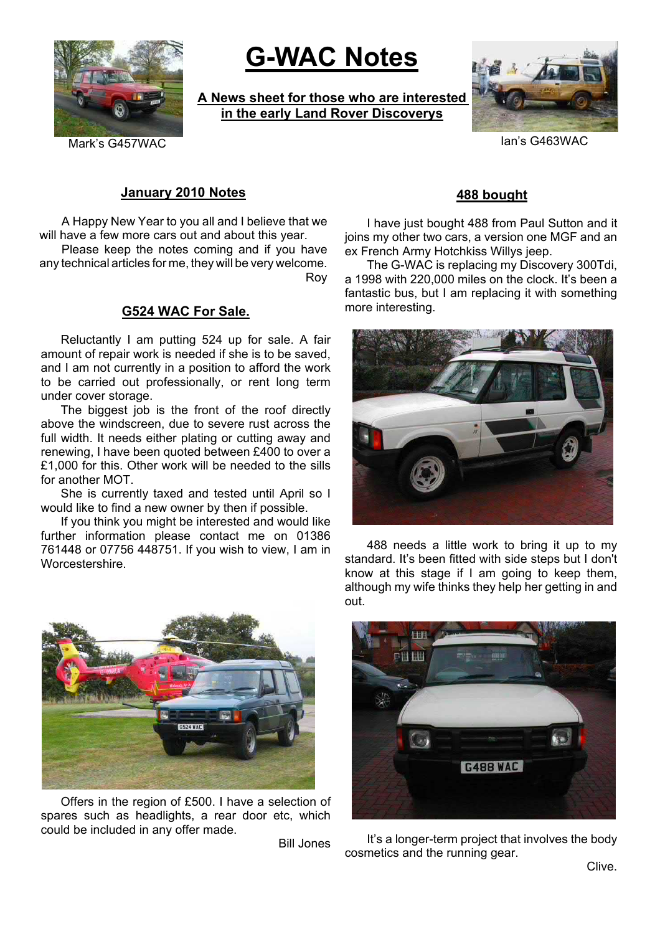

# **G-WAC Notes**

**A News sheet for those who are interested in the early Land Rover Discoverys**



#### **January 2010 Notes**

A Happy New Year to you all and I believe that we will have a few more cars out and about this year.

Please keep the notes coming and if you have any technical articles for me, they will be very welcome. Roy

### **G524 WAC For Sale.**

Reluctantly I am putting 524 up for sale. A fair amount of repair work is needed if she is to be saved, and I am not currently in a position to afford the work to be carried out professionally, or rent long term under cover storage.

The biggest job is the front of the roof directly above the windscreen, due to severe rust across the full width. It needs either plating or cutting away and renewing, I have been quoted between £400 to over a £1,000 for this. Other work will be needed to the sills for another MOT.

She is currently taxed and tested until April so I would like to find a new owner by then if possible.

If you think you might be interested and would like further information please contact me on 01386 761448 or 07756 448751. If you wish to view, I am in Worcestershire.



Offers in the region of £500. I have a selection of spares such as headlights, a rear door etc, which could be included in any offer made.

Bill Jones

### **488 bought**

I have just bought 488 from Paul Sutton and it joins my other two cars, a version one MGF and an ex French Army Hotchkiss Willys jeep.

The G-WAC is replacing my Discovery 300Tdi, a 1998 with 220,000 miles on the clock. It's been a fantastic bus, but I am replacing it with something more interesting.



488 needs a little work to bring it up to my standard. It's been fitted with side steps but I don't know at this stage if I am going to keep them, although my wife thinks they help her getting in and out.



It's a longer-term project that involves the body cosmetics and the running gear.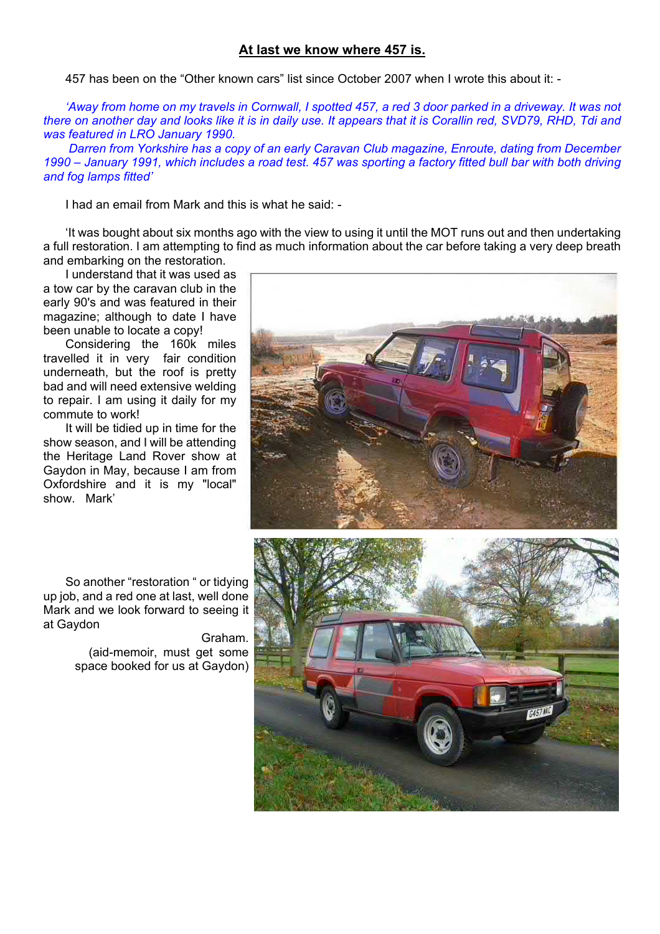### **At last we know where 457 is.**

457 has been on the "Other known cars" list since October 2007 when I wrote this about it: -

*'Away from home on my travels in Cornwall, I spotted 457, a red 3 door parked in a driveway. It was not there on another day and looks like it is in daily use. It appears that it is Corallin red, SVD79, RHD, Tdi and was featured in LRO January 1990.*

*Darren from Yorkshire has a copy of an early Caravan Club magazine, Enroute, dating from December 1990 – January 1991, which includes a road test. 457 was sporting a factory fitted bull bar with both driving and fog lamps fitted'*

I had an email from Mark and this is what he said: -

'It was bought about six months ago with the view to using it until the MOT runs out and then undertaking a full restoration. I am attempting to find as much information about the car before taking a very deep breath and embarking on the restoration.

I understand that it was used as a tow car by the caravan club in the early 90's and was featured in their magazine; although to date I have been unable to locate a copy!

Considering the 160k miles travelled it in very fair condition underneath, but the roof is pretty bad and will need extensive welding to repair. I am using it daily for my commute to work!

It will be tidied up in time for the show season, and I will be attending the Heritage Land Rover show at Gaydon in May, because I am from Oxfordshire and it is my "local" show. Mark'

So another "restoration " or tidying up job, and a red one at last, well done Mark and we look forward to seeing it at Gaydon

> Graham. (aid-memoir, must get some space booked for us at Gaydon)